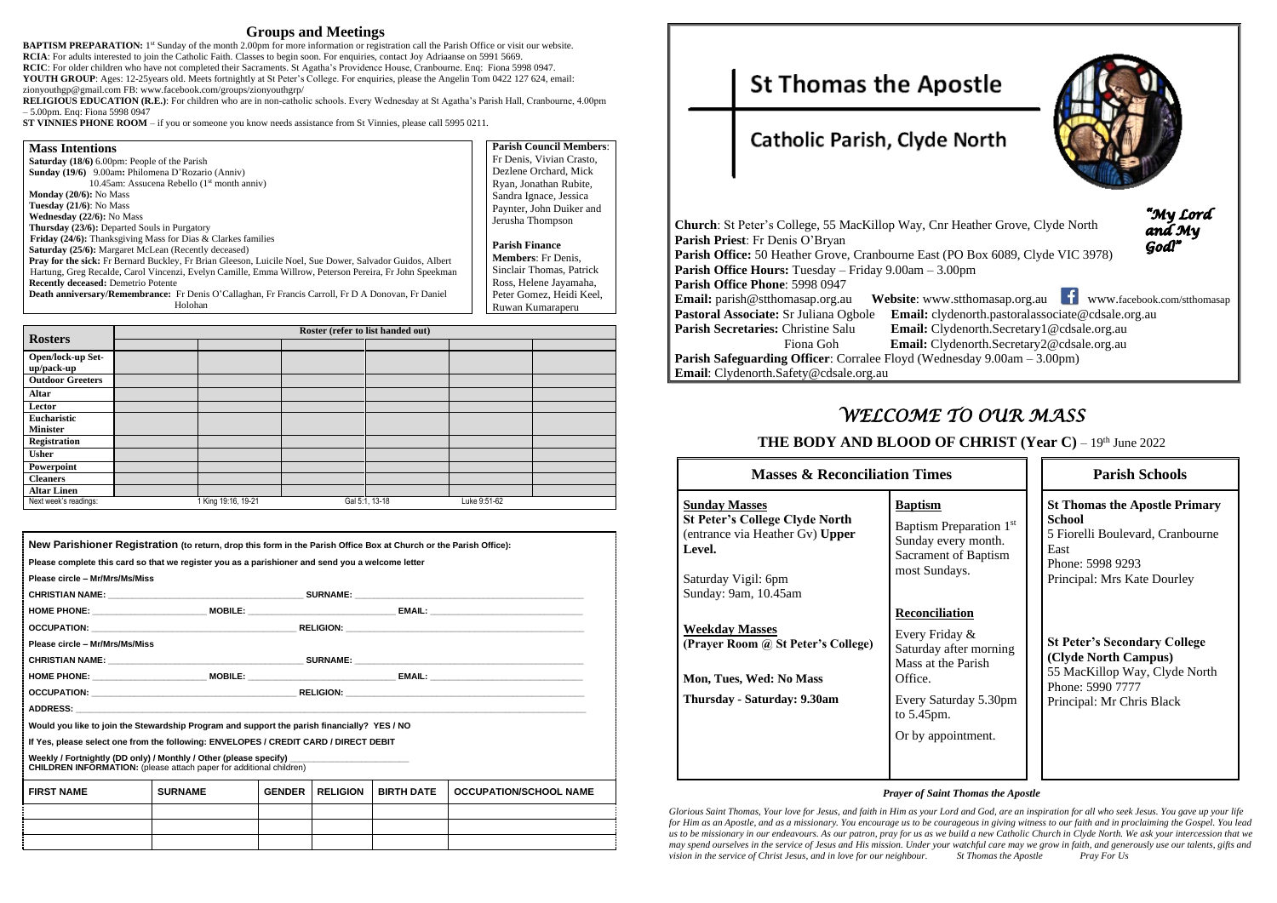### **Groups and Meetings**

**BAPTISM PREPARATION:** 1<sup>st</sup> Sunday of the month 2.00pm for more information or registration call the Parish Office or visit our website. **RCIA**: For adults interested to join the Catholic Faith. Classes to begin soon. For enquiries, contact Joy Adriaanse on 5991 5669. **RCIC**: For older children who have not completed their Sacraments. St Agatha's Providence House, Cranbourne. Enq: Fiona 5998 0947. **YOUTH GROUP**: Ages: 12-25years old. Meets fortnightly at St Peter's College. For enquiries, please the Angelin Tom 0422 127 624, email:

zionyouthgp@gmail.com FB: [www.facebook.com/groups/zionyouthgrp/](http://www.facebook.com/groups/zionyouthgrp/)

**RELIGIOUS EDUCATION (R.E.)**: For children who are in non-catholic schools. Every Wednesday at St Agatha's Parish Hall, Cranbourne, 4.00pm – 5.00pm. Enq: Fiona 5998 0947

**ST VINNIES PHONE ROOM** – if you or someone you know needs assistance from St Vinnies, please call 5995 0211.

| <b>Mass Intentions</b>                                                                                    | <b>Parish Council Members:</b> |
|-----------------------------------------------------------------------------------------------------------|--------------------------------|
| Saturday (18/6) 6.00pm: People of the Parish                                                              | Fr Denis, Vivian Crasto,       |
| <b>Sunday (19/6)</b> 9.00am: Philomena D'Rozario (Anniv)                                                  | Dezlene Orchard, Mick          |
| 10.45am: Assucena Rebello $(1st$ month anniv)                                                             | Ryan, Jonathan Rubite,         |
| <b>Monday</b> $(20/6)$ : No Mass                                                                          | Sandra Ignace, Jessica         |
| Tuesday $(21/6)$ : No Mass                                                                                | Paynter, John Duiker and       |
| <b>Wednesday</b> $(22/6)$ : No Mass                                                                       | Jerusha Thompson               |
| Thursday (23/6): Departed Souls in Purgatory                                                              |                                |
| <b>Friday (24/6):</b> Thanksgiving Mass for Dias $\&$ Clarkes families                                    |                                |
| <b>Saturday (25/6):</b> Margaret McLean (Recently deceased)                                               | <b>Parish Finance</b>          |
| Pray for the sick: Fr Bernard Buckley, Fr Brian Gleeson, Luicile Noel, Sue Dower, Salvador Guidos, Albert | <b>Members:</b> Fr Denis.      |
| Hartung, Greg Recalde, Carol Vincenzi, Evelyn Camille, Emma Willrow, Peterson Pereira, Fr John Speekman   | Sinclair Thomas, Patrick       |
| <b>Recently deceased:</b> Demetrio Potente                                                                | Ross, Helene Jayamaha,         |
| Death anniversary/Remembrance: Fr Denis O'Callaghan, Fr Francis Carroll, Fr D A Donovan, Fr Daniel        | Peter Gomez, Heidi Keel,       |
| Holohan                                                                                                   | Ruwan Kumaraperu               |

|                                 | Roster (refer to list handed out) |  |                |              |  |  |
|---------------------------------|-----------------------------------|--|----------------|--------------|--|--|
| <b>Rosters</b>                  |                                   |  |                |              |  |  |
| Open/lock-up Set-<br>up/pack-up |                                   |  |                |              |  |  |
| <b>Outdoor Greeters</b>         |                                   |  |                |              |  |  |
| <b>Altar</b>                    |                                   |  |                |              |  |  |
| Lector                          |                                   |  |                |              |  |  |
| Eucharistic<br><b>Minister</b>  |                                   |  |                |              |  |  |
| Registration                    |                                   |  |                |              |  |  |
| <b>Usher</b>                    |                                   |  |                |              |  |  |
| Powerpoint                      |                                   |  |                |              |  |  |
| <b>Cleaners</b>                 |                                   |  |                |              |  |  |
| <b>Altar Linen</b>              |                                   |  |                |              |  |  |
| Next week's readings:           | 1 King 19:16, 19-21               |  | Gal 5:1, 13-18 | Luke 9:51-62 |  |  |

| New Parishioner Registration (to return, drop this form in the Parish Office Box at Church or the Parish Office):                               |                |               |                 |                   |                                                                                                                      |
|-------------------------------------------------------------------------------------------------------------------------------------------------|----------------|---------------|-----------------|-------------------|----------------------------------------------------------------------------------------------------------------------|
| Please complete this card so that we register you as a parishioner and send you a welcome letter                                                |                |               |                 |                   |                                                                                                                      |
| Please circle - Mr/Mrs/Ms/Miss                                                                                                                  |                |               |                 |                   |                                                                                                                      |
|                                                                                                                                                 |                |               |                 |                   |                                                                                                                      |
|                                                                                                                                                 |                |               |                 |                   | HOME PHONE: _____________________________MOBILE: ________________________________ EMAIL: _____________________       |
|                                                                                                                                                 |                |               |                 |                   |                                                                                                                      |
| Please circle - Mr/Mrs/Ms/Miss                                                                                                                  |                |               |                 |                   |                                                                                                                      |
|                                                                                                                                                 |                |               |                 |                   |                                                                                                                      |
|                                                                                                                                                 |                |               |                 |                   | HOME PHONE: ______________________________MOBILE: ________________________________ EMAIL: __________________________ |
|                                                                                                                                                 |                |               |                 |                   |                                                                                                                      |
|                                                                                                                                                 |                |               |                 |                   |                                                                                                                      |
| Would you like to join the Stewardship Program and support the parish financially? YES / NO                                                     |                |               |                 |                   |                                                                                                                      |
| If Yes, please select one from the following: ENVELOPES / CREDIT CARD / DIRECT DEBIT                                                            |                |               |                 |                   |                                                                                                                      |
| Weekly / Fortnightly (DD only) / Monthly / Other (please specify)<br><b>CHILDREN INFORMATION:</b> (please attach paper for additional children) |                |               |                 |                   |                                                                                                                      |
| <b>FIRST NAME</b>                                                                                                                               | <b>SURNAME</b> | <b>GENDER</b> | <b>RELIGION</b> | <b>BIRTH DATE</b> | <b>OCCUPATION/SCHOOL NAME</b>                                                                                        |
|                                                                                                                                                 |                |               |                 |                   |                                                                                                                      |
|                                                                                                                                                 |                |               |                 |                   |                                                                                                                      |

**St Thomas the Apostle** 

# Catholic Parish, Clyde North

| <b>Church</b> : St Peter's College, 55 MacKillop Way, Cnr Heat |                        |
|----------------------------------------------------------------|------------------------|
| Parish Priest: Fr Denis O'Bryan                                |                        |
|                                                                |                        |
| Parish Office: 50 Heather Grove, Cranbourne East (PO B         |                        |
| <b>Parish Office Hours:</b> Tuesday – Friday 9.00am – 3.00pm   |                        |
| Parish Office Phone: 5998 0947                                 |                        |
| <b>Email:</b> parish@stthomasap.org.au<br>Website: www.stthe   |                        |
| Pastoral Associate: Sr Juliana Ogbole                          | <b>Email:</b> clydenor |
| <b>Parish Secretaries: Christine Salu</b>                      | <b>Email:</b> Clydeno  |
| Fiona Goh                                                      | Email: Clydeno         |
| <b>Parish Safeguarding Officer:</b> Corralee Floyd (Wednesda   |                        |
| <b>Email:</b> Clydenorth.Safety@cdsale.org.au                  |                        |

# *WELCOME TO OUR MASS*

| <b>Masses &amp; Reconciliation Times</b>                                                                                                                         |                                                                                                                       |  |  |
|------------------------------------------------------------------------------------------------------------------------------------------------------------------|-----------------------------------------------------------------------------------------------------------------------|--|--|
| <u>Sunday Masses</u><br><b>St Peter's College Clyde North</b><br>(entrance via Heather Gv) Upper<br><b>Level.</b><br>Saturday Vigil: 6pm<br>Sunday: 9am, 10.45am | <b>Baptism</b><br>Baptism Preparation 1 <sup>st</sup><br>Sunday every month.<br>Sacrament of Baptism<br>most Sundays. |  |  |
| <b>Weekday Masses</b><br>(Prayer Room @ St Peter's College)<br><b>Mon, Tues, Wed: No Mass</b>                                                                    | <b>Reconciliation</b><br>Every Friday &<br>Saturday after morning<br>Mass at the Parish<br>Office.                    |  |  |
| Thursday - Saturday: 9.30am                                                                                                                                      | Every Saturday 5.30pm<br>to 5.45pm.<br>Or by appointment.                                                             |  |  |

 $\mathbf L$ 

| <b>Masses &amp; Reconciliation Times</b>                                      |                                                                                                                                                             |      | <b>Parish Schools</b>                                                                                                                         |
|-------------------------------------------------------------------------------|-------------------------------------------------------------------------------------------------------------------------------------------------------------|------|-----------------------------------------------------------------------------------------------------------------------------------------------|
| <u>ses</u><br>ollege Clyde North<br>Heather Gv) Upper<br>il: 6pm<br>, 10.45am | <b>Baptism</b><br>Baptism Preparation 1 <sup>st</sup><br>Sunday every month.<br>Sacrament of Baptism<br>most Sundays.                                       | East | <b>St Thomas the Apostle Primary</b><br><b>School</b><br>5 Fiorelli Boulevard, Cranbourne<br>Phone: 5998 9293<br>Principal: Mrs Kate Dourley  |
| asses<br>n @ St Peter's College)<br><b>Ved: No Mass</b><br>aturday: 9.30am    | Reconciliation<br>Every Friday &<br>Saturday after morning<br>Mass at the Parish<br>Office.<br>Every Saturday 5.30pm<br>to $5.45$ pm.<br>Or by appointment. |      | <b>St Peter's Secondary College</b><br>(Clyde North Campus)<br>55 MacKillop Way, Clyde North<br>Phone: 5990 7777<br>Principal: Mr Chris Black |

### *Prayer of Saint Thomas the Apostle*

*Glorious Saint Thomas, Your love for Jesus, and faith in Him as your Lord and God, are an inspiration for all who seek Jesus. You gave up your life for Him as an Apostle, and as a missionary. You encourage us to be courageous in giving witness to our faith and in proclaiming the Gospel. You lead us to be missionary in our endeavours. As our patron, pray for us as we build a new Catholic Church in Clyde North. We ask your intercession that we may spend ourselves in the service of Jesus and His mission. Under your watchful care may we grow in faith, and generously use our talents, gifts and vision in the service of Christ Jesus, and in love for our neighbour. St Thomas the Apostle Pray For Us*



**Church**: Grove, Clyde North

"My Lord and My God<sup>"</sup>

Box 6089, Clyde VIC 3978)

**EXAMILIST EMAIL:** www.facebook.com/stthomasap **Pastoral Associate**@cdsale.org.au **Parish Secretary 1@cdsale.org.au**  Fiona Goh **Email:** Clydenorth.Secretary2@cdsale.org.au  $\text{day } 9.00 \text{am} - 3.00 \text{pm}$ )

**THE BODY AND BLOOD OF CHRIST (Year C) – 19th June 2022**